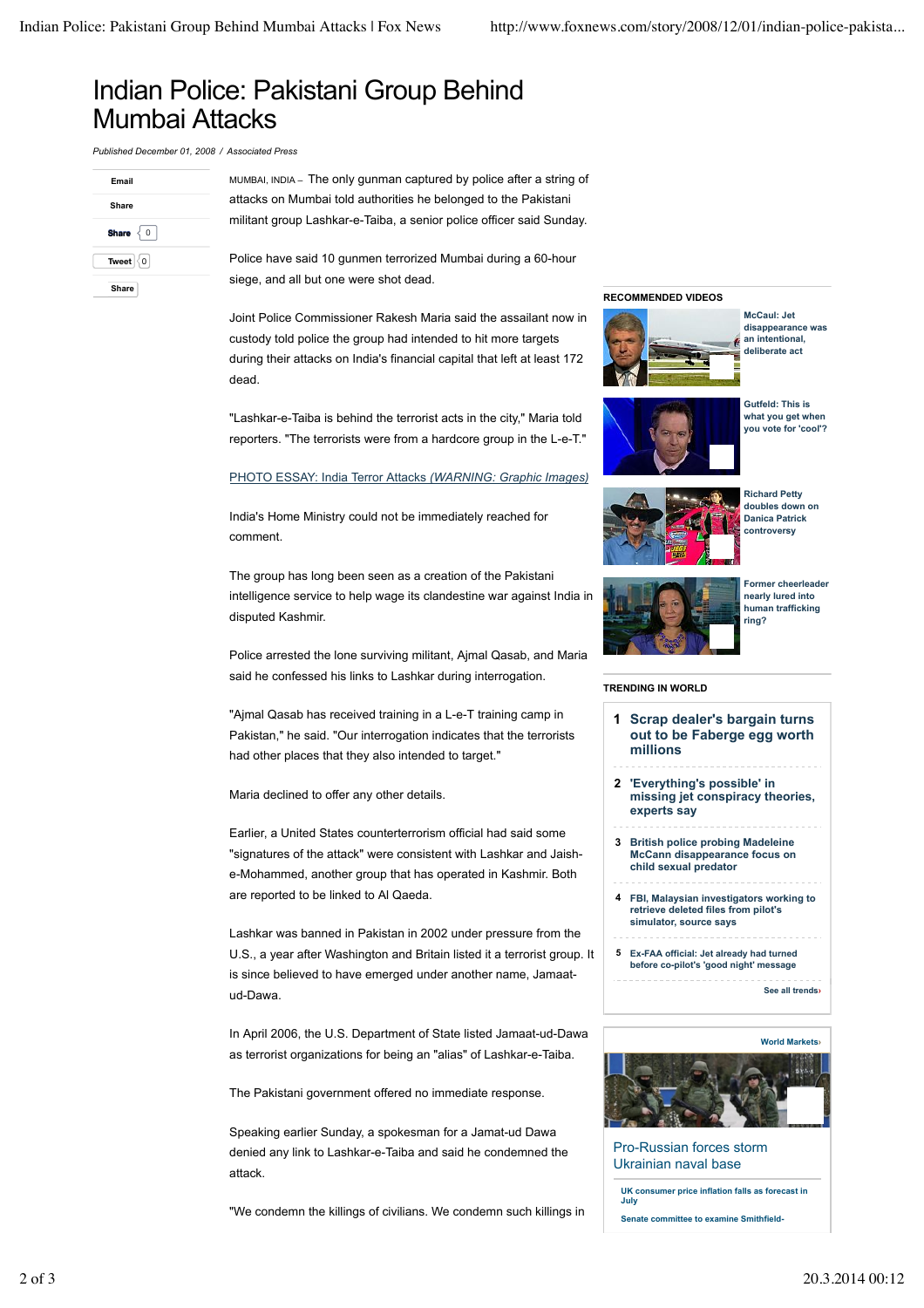# Indian Police: Pakistani Group Behind Mumbai Attacks

*Published December 01, 2008 / Associated Press*

| Email             |  |
|-------------------|--|
| Share             |  |
| Share $\langle 0$ |  |
| Tweet $\boxed{0}$ |  |
| Share             |  |

MUMBAI, INDIA – The only gunman captured by police after a string of attacks on Mumbai told authorities he belonged to the Pakistani militant group Lashkar-e-Taiba, a senior police officer said Sunday.

Police have said 10 gunmen terrorized Mumbai during a 60-hour siege, and all but one were shot dead.

Joint Police Commissioner Rakesh Maria said the assailant now in custody told police the group had intended to hit more targets during their attacks on India's financial capital that left at least 172 dead.

"Lashkar-e-Taiba is behind the terrorist acts in the city," Maria told reporters. "The terrorists were from a hardcore group in the L-e-T."

## PHOTO ESSAY: India Terror Attacks *(WARNING: Graphic Images)*

India's Home Ministry could not be immediately reached for comment.

The group has long been seen as a creation of the Pakistani intelligence service to help wage its clandestine war against India in disputed Kashmir.

Police arrested the lone surviving militant, Ajmal Qasab, and Maria said he confessed his links to Lashkar during interrogation.

"Ajmal Qasab has received training in a L-e-T training camp in Pakistan," he said. "Our interrogation indicates that the terrorists had other places that they also intended to target."

Maria declined to offer any other details.

Earlier, a United States counterterrorism official had said some "signatures of the attack" were consistent with Lashkar and Jaishe-Mohammed, another group that has operated in Kashmir. Both are reported to be linked to Al Qaeda.

Lashkar was banned in Pakistan in 2002 under pressure from the U.S., a year after Washington and Britain listed it a terrorist group. It is since believed to have emerged under another name, Jamaatud-Dawa.

In April 2006, the U.S. Department of State listed Jamaat-ud-Dawa as terrorist organizations for being an "alias" of Lashkar-e-Taiba.

The Pakistani government offered no immediate response.

Speaking earlier Sunday, a spokesman for a Jamat-ud Dawa denied any link to Lashkar-e-Taiba and said he condemned the attack.

"We condemn the killings of civilians. We condemn such killings in

#### **RECOMMENDED VIDEOS**



**McCaul: Jet disappearance was an intentional, deliberate act**



**Gutfeld: This is what you get when you vote for 'cool'?**



**Richard Petty doubles down on Danica Patrick controversy**



**Former cheerleader nearly lured into human trafficking ring?**

### **TRENDING IN WORLD**

- **1 Scrap dealer's bargain turns out to be Faberge egg worth millions**
- **2 'Everything's possible' in missing jet conspiracy theories, experts say**
- **3 British police probing Madeleine McCann disappearance focus on child sexual predator**
- **4 FBI, Malaysian investigators working to retrieve deleted files from pilot's simulator, source says**
- **5 Ex-FAA official: Jet already had turned before co-pilot's 'good night' message**

**See all trends›**